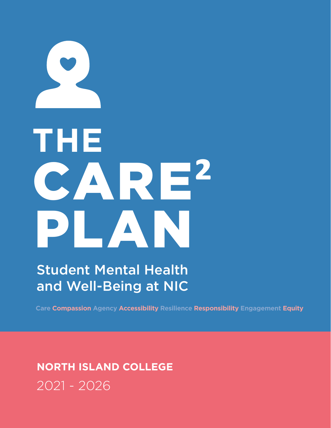# **THE** CARE**²** PLANN

Student Mental Health and Well-Being at NIC

**Care Compassion Agency Accessibility Resilience Responsibility Engagement Equity**

## **NORTH ISLAND COLLEGE** 2021 - 2026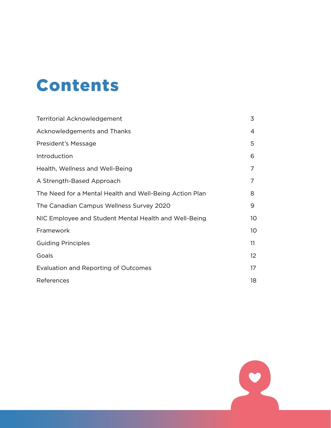# Contents

| <b>Territorial Acknowledgement</b>                      | 3  |
|---------------------------------------------------------|----|
| Acknowledgements and Thanks                             | 4  |
| President's Message                                     | 5  |
| Introduction                                            | 6  |
| Health, Wellness and Well-Being                         | 7  |
| A Strength-Based Approach                               | 7  |
| The Need for a Mental Health and Well-Being Action Plan | 8  |
| The Canadian Campus Wellness Survey 2020                | 9  |
| NIC Employee and Student Mental Health and Well-Being   | 10 |
| Framework                                               | 10 |
| <b>Guiding Principles</b>                               | 11 |
| Goals                                                   | 12 |
| Evaluation and Reporting of Outcomes                    | 17 |
| References                                              | 18 |

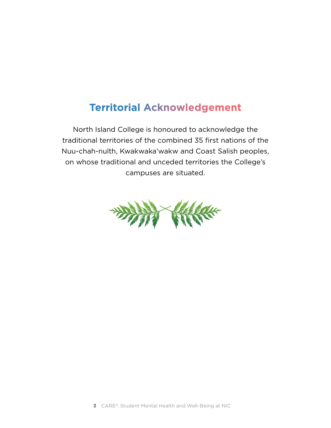## <span id="page-2-0"></span>**Territorial Acknowledgement**

North Island College is honoured to acknowledge the traditional territories of the combined 35 first nations of the Nuu-chah-nulth, Kwakwaka'wakw and Coast Salish peoples, on whose traditional and unceded territories the College's campuses are situated.

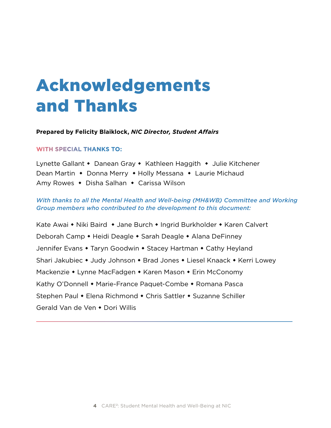# <span id="page-3-0"></span>Acknowledgements and Thanks

**Prepared by Felicity Blaiklock,** *NIC Director, Student Affairs*

#### **WITH SPECIAL THANKS TO:**

Lynette Gallant • Danean Gray • Kathleen Haggith • Julie Kitchener Dean Martin • Donna Merry • Holly Messana • Laurie Michaud Amy Rowes • Disha Salhan • Carissa Wilson

#### *With thanks to all the Mental Health and Well-being (MH&WB) Committee and Working Group members who contributed to the development to this document:*

Kate Awai • Niki Baird • Jane Burch • Ingrid Burkholder • Karen Calvert Deborah Camp • Heidi Deagle • Sarah Deagle • Alana DeFinney Jennifer Evans • Taryn Goodwin • Stacey Hartman • Cathy Heyland Shari Jakubiec • Judy Johnson • Brad Jones • Liesel Knaack • Kerri Lowey Mackenzie • Lynne MacFadgen • Karen Mason • Erin McConomy Kathy O'Donnell • Marie-France Paquet-Combe • Romana Pasca Stephen Paul • Elena Richmond • Chris Sattler • Suzanne Schiller Gerald Van de Ven • Dori Willis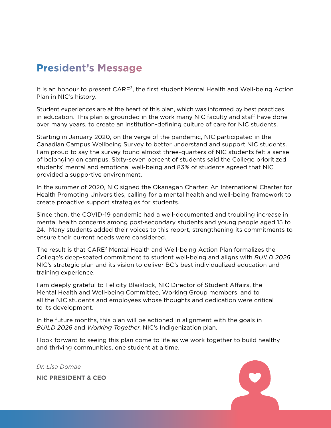## <span id="page-4-0"></span>**President's Message**

It is an honour to present CARE<sup>2</sup>, the first student Mental Health and Well-being Action Plan in NIC's history.

Student experiences are at the heart of this plan, which was informed by best practices in education. This plan is grounded in the work many NIC faculty and staff have done over many years, to create an institution-defining culture of care for NIC students.

Starting in January 2020, on the verge of the pandemic, NIC participated in the Canadian Campus Wellbeing Survey to better understand and support NIC students. I am proud to say the survey found almost three-quarters of NIC students felt a sense of belonging on campus. Sixty-seven percent of students said the College prioritized students' mental and emotional well-being and 83% of students agreed that NIC provided a supportive environment.

In the summer of 2020, NIC signed the Okanagan Charter: An International Charter for Health Promoting Universities, calling for a mental health and well-being framework to create proactive support strategies for students.

Since then, the COVID-19 pandemic had a well-documented and troubling increase in mental health concerns among post-secondary students and young people aged 15 to 24. Many students added their voices to this report, strengthening its commitments to ensure their current needs were considered.

The result is that CARE<sup>2</sup> Mental Health and Well-being Action Plan formalizes the College's deep-seated commitment to student well-being and aligns with *BUILD 2026*, NIC's strategic plan and its vision to deliver BC's best individualized education and training experience.

I am deeply grateful to Felicity Blaiklock, NIC Director of Student Affairs, the Mental Health and Well-being Committee, Working Group members, and to all the NIC students and employees whose thoughts and dedication were critical to its development.

In the future months, this plan will be actioned in alignment with the goals in *BUILD 2026* and *[Working Together](https://www.nic.bc.ca/pdf/nic-indigenization-plan.pdf)*, NIC's Indigenization plan.

I look forward to seeing this plan come to life as we work together to build healthy and thriving communities, one student at a time.

*Dr. Lisa Domae*

**NIC PRESIDENT & CEO**

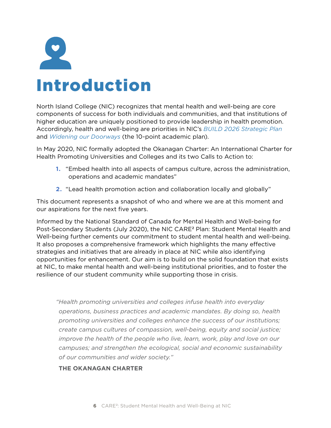<span id="page-5-0"></span>

| <b>Introduction</b> |  |  |
|---------------------|--|--|

North Island College (NIC) recognizes that mental health and well-being are core components of success for both individuals and communities, and that institutions of higher education are uniquely positioned to provide leadership in health promotion. Accordingly, health and well-being are priorities in NIC's *[BUILD 2026 Strategic Plan](https://www.nic.bc.ca/pdf/build-2026.pdf)* and *[Widening our Doorways](https://www.nic.bc.ca/pdf/widening-our-doorways-2026.pdf)* (the 10-point academic plan).

In May 2020, NIC formally adopted the Okanagan Charter: An International Charter for Health Promoting Universities and Colleges and its two Calls to Action to:

- **1.** "Embed health into all aspects of campus culture, across the administration, operations and academic mandates"
- **2.** "Lead health promotion action and collaboration locally and globally"

This document represents a snapshot of who and where we are at this moment and our aspirations for the next five years.

Informed by the National Standard of Canada for Mental Health and Well-being for Post-Secondary Students (July 2020), the NIC CARE² Plan: Student Mental Health and Well-being further cements our commitment to student mental health and well-being. It also proposes a comprehensive framework which highlights the many effective strategies and initiatives that are already in place at NIC while also identifying opportunities for enhancement. Our aim is to build on the solid foundation that exists at NIC, to make mental health and well-being institutional priorities, and to foster the resilience of our student community while supporting those in crisis.

*"Health promoting universities and colleges infuse health into everyday operations, business practices and academic mandates. By doing so, health promoting universities and colleges enhance the success of our institutions; create campus cultures of compassion, well-being, equity and social justice; improve the health of the people who live, learn, work, play and love on our campuses; and strengthen the ecological, social and economic sustainability of our communities and wider society."*

#### **THE OKANAGAN CHARTER**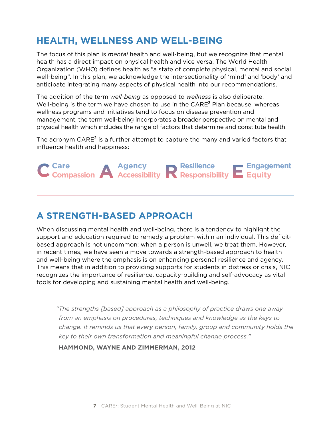## <span id="page-6-0"></span>**HEALTH, WELLNESS AND WELL-BEING**

The focus of this plan is *mental* health and well-being, but we recognize that mental health has a direct impact on physical health and vice versa. The World Health Organization (WHO) defines health as "a state of complete physical, mental and social well-being". In this plan, we acknowledge the intersectionality of 'mind' and 'body' and anticipate integrating many aspects of physical health into our recommendations.

The addition of the term *well-being* as opposed to *wellness* is also deliberate. Well-being is the term we have chosen to use in the CARE<sup>2</sup> Plan because, whereas wellness programs and initiatives tend to focus on disease prevention and management, the term well-being incorporates a broader perspective on mental and physical health which includes the range of factors that determine and constitute health.

The acronym CARE<sup>2</sup> is a further attempt to capture the many and varied factors that influence health and happiness:



## **A STRENGTH-BASED APPROACH**

When discussing mental health and well-being, there is a tendency to highlight the support and education required to remedy a problem within an individual. This deficitbased approach is not uncommon; when a person is unwell, we treat them. However, in recent times, we have seen a move towards a strength-based approach to health and well-being where the emphasis is on enhancing personal resilience and agency. This means that in addition to providing supports for students in distress or crisis, NIC recognizes the importance of resilience, capacity-building and self-advocacy as vital tools for developing and sustaining mental health and well-being.

*"The strengths [based] approach as a philosophy of practice draws one away from an emphasis on procedures, techniques and knowledge as the keys to change. It reminds us that every person, family, group and community holds the key to their own transformation and meaningful change process."* 

**HAMMOND, WAYNE AND ZIMMERMAN, 2012**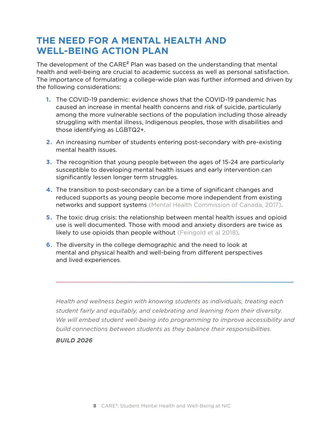## <span id="page-7-0"></span>**THE NEED FOR A MENTAL HEALTH AND WELL-BEING ACTION PLAN**

The development of the CARE<sup>2</sup> Plan was based on the understanding that mental health and well-being are crucial to academic success as well as personal satisfaction. The importance of formulating a college-wide plan was further informed and driven by the following considerations:

- **1.** The COVID-19 pandemic: evidence shows that the COVID-19 pandemic has caused an increase in mental health concerns and risk of suicide, particularly among the more vulnerable sections of the population including those already struggling with mental illness, Indigenous peoples, those with disabilities and those identifying as LGBTQ2+.
- **2.** An increasing number of students entering post-secondary with pre-existing mental health issues.
- **3.** The recognition that young people between the ages of 15-24 are particularly susceptible to developing mental health issues and early intervention can significantly lessen longer term struggles.
- **4.** The transition to post-secondary can be a time of significant changes and reduced supports as young people become more independent from existing networks and support systems (Mental Health Commission of Canada, 2017).
- **5.** The toxic drug crisis: the relationship between mental health issues and opioid use is well documented. Those with mood and anxiety disorders are twice as likely to use opioids than people without (Feingold et al 2018).
- **6.** The diversity in the college demographic and the need to look at mental and physical health and well-being from different perspectives and lived experiences.

 *Health and wellness begin with knowing students as individuals, treating each student fairly and equitably, and celebrating and learning from their diversity.*  We will embed student well-being into programming to improve accessibility and *build connections between students as they balance their responsibilities.*

#### *[BUILD 2026](https://www.nic.bc.ca/pdf/build-2026.pdf)*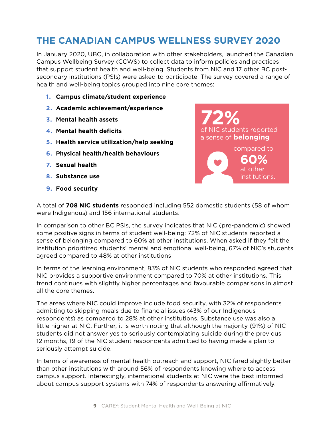## <span id="page-8-0"></span>**THE CANADIAN CAMPUS WELLNESS SURVEY 2020**

In January 2020, UBC, in collaboration with other stakeholders, launched the Canadian Campus Wellbeing Survey (CCWS) to collect data to inform policies and practices that support student health and well-being. Students from NIC and 17 other BC postsecondary institutions (PSIs) were asked to participate. The survey covered a range of health and well-being topics grouped into nine core themes:

- **1. Campus climate/student experience**
- **2. Academic achievement/experience**
- **3. Mental health assets**
- **4. Mental health deficits**
- **5. Health service utilization/help seeking**
- **6. Physical health/health behaviours**
- **7. Sexual health**
- **8. Substance use**
- **9. Food security**



A total of **708 NIC students** responded including 552 domestic students (58 of whom were Indigenous) and 156 international students.

In comparison to other BC PSIs, the survey indicates that NIC (pre-pandemic) showed some positive signs in terms of student well-being: 72% of NIC students reported a sense of belonging compared to 60% at other institutions. When asked if they felt the institution prioritized students' mental and emotional well-being, 67% of NIC's students agreed compared to 48% at other institutions

In terms of the learning environment, 83% of NIC students who responded agreed that NIC provides a supportive environment compared to 70% at other institutions. This trend continues with slightly higher percentages and favourable comparisons in almost all the core themes.

The areas where NIC could improve include food security, with 32% of respondents admitting to skipping meals due to financial issues (43% of our Indigenous respondents) as compared to 28% at other institutions. Substance use was also a little higher at NIC. Further, it is worth noting that although the majority (91%) of NIC students did not answer yes to seriously contemplating suicide during the previous 12 months, 19 of the NIC student respondents admitted to having made a plan to seriously attempt suicide.

In terms of awareness of mental health outreach and support, NIC fared slightly better than other institutions with around 56% of respondents knowing where to access campus support. Interestingly, international students at NIC were the best informed about campus support systems with 74% of respondents answering affirmatively.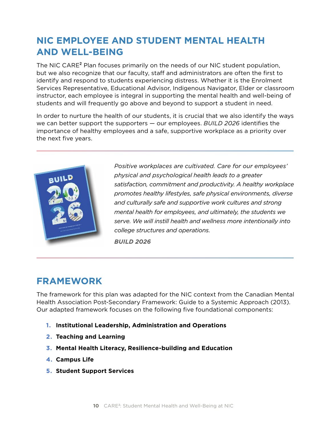## <span id="page-9-0"></span>**NIC EMPLOYEE AND STUDENT MENTAL HEALTH AND WELL-BEING**

The NIC CARE<sup>2</sup> Plan focuses primarily on the needs of our NIC student population, but we also recognize that our faculty, staff and administrators are often the first to identify and respond to students experiencing distress. Whether it is the Enrolment Services Representative, Educational Advisor, Indigenous Navigator, Elder or classroom instructor, each employee is integral in supporting the mental health and well-being of students and will frequently go above and beyond to support a student in need.

In order to nurture the health of our students, it is crucial that we also identify the ways we can better support the supporters — our employees. *[BUILD 2026](https://www.nic.bc.ca/pdf/build-2026.pdf)* identifies the importance of healthy employees and a safe, supportive workplace as a priority over the next five years.



 *Positive workplaces are cultivated. Care for our employees' physical and psychological health leads to a greater satisfaction, commitment and productivity. A healthy workplace promotes healthy lifestyles, safe physical environments, diverse and culturally safe and supportive work cultures and strong mental health for employees, and ultimately, the students we serve. We will instill health and wellness more intentionally into college structures and operations.*

*[BUILD 2026](https://www.nic.bc.ca/pdf/build-2026.pdf)*

## **FRAMEWORK**

The framework for this plan was adapted for the NIC context from the Canadian Mental Health Association Post-Secondary Framework: Guide to a Systemic Approach (2013). Our adapted framework focuses on the following five foundational components:

- **1. Institutional Leadership, Administration and Operations**
- **2. Teaching and Learning**
- **3. Mental Health Literacy, Resilience-building and Education**
- **4. Campus Life**
- **5. Student Support Services**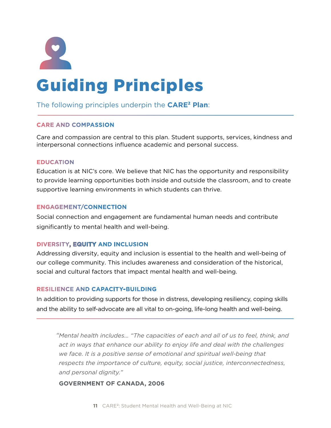<span id="page-10-0"></span>

#### The following principles underpin the **CARE² Plan**:

#### **CARE AND COMPASSION**

Care and compassion are central to this plan. Student supports, services, kindness and interpersonal connections influence academic and personal success.

#### **EDUCATION**

Education is at NIC's core. We believe that NIC has the opportunity and responsibility to provide learning opportunities both inside and outside the classroom, and to create supportive learning environments in which students can thrive.

#### **ENGAGEMENT/CONNECTION**

Social connection and engagement are fundamental human needs and contribute significantly to mental health and well-being.

#### **DIVERSITY, EQUITY AND INCLUSION**

Addressing diversity, equity and inclusion is essential to the health and well-being of our college community. This includes awareness and consideration of the historical, social and cultural factors that impact mental health and well-being.

#### **RESILIENCE AND CAPACITY-BUILDING**

In addition to providing supports for those in distress, developing resiliency, coping skills and the ability to self-advocate are all vital to on-going, life-long health and well-being.

*"Mental health includes… "The capacities of each and all of us to feel, think, and act in ways that enhance our ability to enjoy life and deal with the challenges we face. It is a positive sense of emotional and spiritual well-being that respects the importance of culture, equity, social justice, interconnectedness, and personal dignity."*

#### **GOVERNMENT OF CANADA, 2006**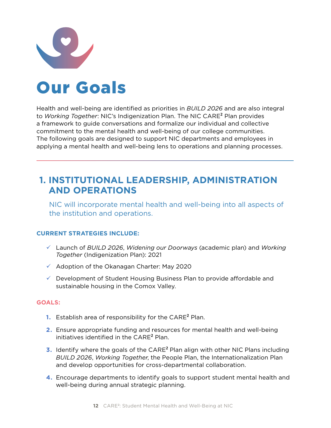<span id="page-11-0"></span>

# Our Goals

Health and well-being are identified as priorities in *[BUILD 2026](https://www.nic.bc.ca/pdf/build-2026.pdf)* and are also integral to *[Working Together](https://www.nic.bc.ca/pdf/nic-indigenization-plan.pdf)*: NIC's Indigenization Plan. The NIC CARE² Plan provides a framework to guide conversations and formalize our individual and collective commitment to the mental health and well-being of our college communities. The following goals are designed to support NIC departments and employees in applying a mental health and well-being lens to operations and planning processes.

## **1. INSTITUTIONAL LEADERSHIP, ADMINISTRATION AND OPERATIONS**

 NIC will incorporate mental health and well-being into all aspects of the institution and operations.

#### **CURRENT STRATEGIES INCLUDE:**

- 9 Launch of *[BUILD 2026](https://www.nic.bc.ca/pdf/build-2026.pdf)*, *[Widening our Doorways](https://www.nic.bc.ca/pdf/widening-our-doorways-2026.pdf)* (academic plan) and *[Working](https://www.nic.bc.ca/pdf/nic-indigenization-plan.pdf)  [Together](https://www.nic.bc.ca/pdf/nic-indigenization-plan.pdf)* (Indigenization Plan): 2021
- $\checkmark$  Adoption of the Okanagan Charter: May 2020
- $\checkmark$  Development of Student Housing Business Plan to provide affordable and sustainable housing in the Comox Valley.

- **1.** Establish area of responsibility for the CARE² Plan.
- **2.** Ensure appropriate funding and resources for mental health and well-being initiatives identified in the CARE<sup>2</sup> Plan.
- **3.** Identify where the goals of the CARE² Plan align with other NIC Plans including *[BUILD 2026](https://www.nic.bc.ca/pdf/build-2026.pdf)*, *[Working Together](https://www.nic.bc.ca/pdf/nic-indigenization-plan.pdf)*, the People Plan, the Internationalization Plan and develop opportunities for cross-departmental collaboration.
- **4.** Encourage departments to identify goals to support student mental health and well-being during annual strategic planning.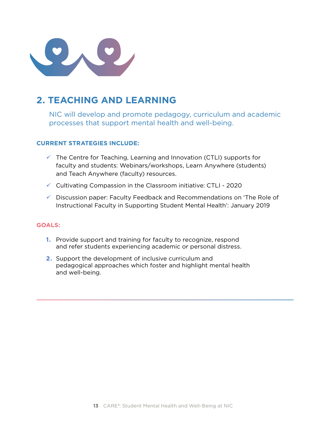

## **2. TEACHING AND LEARNING**

 NIC will develop and promote pedagogy, curriculum and academic processes that support mental health and well-being.

#### **CURRENT STRATEGIES INCLUDE:**

- $\checkmark$  The Centre for Teaching, Learning and Innovation (CTLI) supports for faculty and students: Webinars/workshops, Learn Anywhere (students) and Teach Anywhere (faculty) resources.
- $\checkmark$  Cultivating Compassion in the Classroom initiative: CTLI 2020
- $\checkmark$  Discussion paper: Faculty Feedback and Recommendations on 'The Role of Instructional Faculty in Supporting Student Mental Health': January 2019

- **1.** Provide support and training for faculty to recognize, respond and refer students experiencing academic or personal distress.
- **2.** Support the development of inclusive curriculum and pedagogical approaches which foster and highlight mental health and well-being.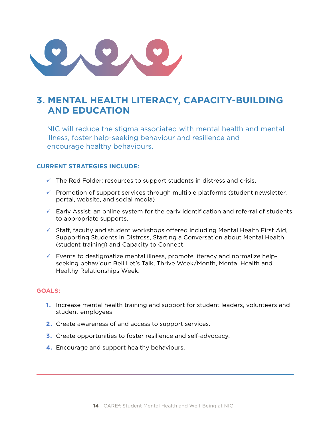

## **3. MENTAL HEALTH LITERACY, CAPACITY-BUILDING AND EDUCATION**

 NIC will reduce the stigma associated with mental health and mental illness, foster help-seeking behaviour and resilience and encourage healthy behaviours.

#### **CURRENT STRATEGIES INCLUDE:**

- $\checkmark$  The Red Folder: resources to support students in distress and crisis.
- $\checkmark$  Promotion of support services through multiple platforms (student newsletter, portal, website, and social media)
- $\checkmark$  Early Assist: an online system for the early identification and referral of students to appropriate supports.
- $\checkmark$  Staff, faculty and student workshops offered including Mental Health First Aid, Supporting Students in Distress, Starting a Conversation about Mental Health (student training) and Capacity to Connect.
- $\checkmark$  Events to destigmatize mental illness, promote literacy and normalize helpseeking behaviour: Bell Let's Talk, Thrive Week/Month, Mental Health and Healthy Relationships Week.

- **1.** Increase mental health training and support for student leaders, volunteers and student employees.
- **2.** Create awareness of and access to support services.
- **3.** Create opportunities to foster resilience and self-advocacy.
- **4.** Encourage and support healthy behaviours.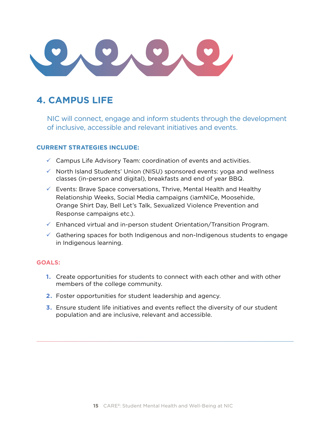## **4. CAMPUS LIFE**

 NIC will connect, engage and inform students through the development of inclusive, accessible and relevant initiatives and events.

#### **CURRENT STRATEGIES INCLUDE:**

- $\checkmark$  Campus Life Advisory Team: coordination of events and activities.
- $\checkmark$  North Island Students' Union (NISU) sponsored events: yoga and wellness classes (in-person and digital), breakfasts and end of year BBQ.
- $\checkmark$  Events: Brave Space conversations, Thrive, Mental Health and Healthy Relationship Weeks, Social Media campaigns (iamNICe, Moosehide, Orange Shirt Day, Bell Let's Talk, Sexualized Violence Prevention and Response campaigns etc.).
- $\checkmark$  Enhanced virtual and in-person student Orientation/Transition Program.
- $\checkmark$  Gathering spaces for both Indigenous and non-Indigenous students to engage in Indigenous learning.

- **1.** Create opportunities for students to connect with each other and with other members of the college community.
- **2.** Foster opportunities for student leadership and agency.
- **3.** Ensure student life initiatives and events reflect the diversity of our student population and are inclusive, relevant and accessible.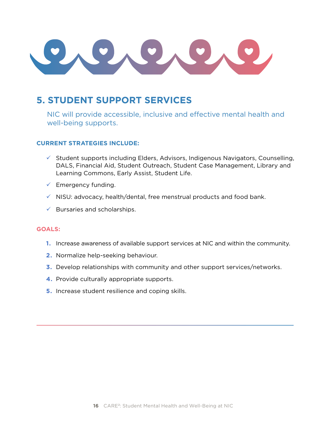## **5. STUDENT SUPPORT SERVICES**

 NIC will provide accessible, inclusive and effective mental health and well-being supports.

#### **CURRENT STRATEGIES INCLUDE:**

- $\checkmark$  Student supports including Elders, Advisors, Indigenous Navigators, Counselling, DALS, Financial Aid, Student Outreach, Student Case Management, Library and Learning Commons, Early Assist, Student Life.
- $\checkmark$  Emergency funding.
- $\checkmark$  NISU: advocacy, health/dental, free menstrual products and food bank.
- $\checkmark$  Bursaries and scholarships.

- **1.** Increase awareness of available support services at NIC and within the community.
- **2.** Normalize help-seeking behaviour.
- **3.** Develop relationships with community and other support services/networks.
- **4.** Provide culturally appropriate supports.
- **5.** Increase student resilience and coping skills.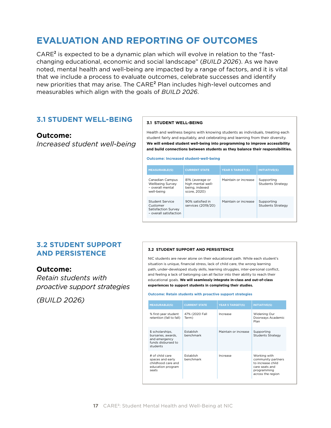## <span id="page-16-0"></span>**EVALUATION AND REPORTING OF OUTCOMES**

 $CARE<sup>2</sup>$  is expected to be a dynamic plan which will evolve in relation to the "fastchanging educational, economic and social landscape" (*BUILD 2026*). As we have noted, mental health and well-being are impacted by a range of factors, and it is vital that we include a process to evaluate outcomes, celebrate successes and identify mat he mention a process to cranatic catedrice, ceremote cacesceed and racinary<br>new priorities that may arise. The CARE<sup>2</sup> Plan includes high-level outcomes and measurables which align with the goals of *BUILD 2026*.  $\tau$ E $\,$  Pidit includes high-level outcomes and blan which will evolve in<br>social landscape" (BUI

#### **3.1 STUDENT WELL-BEING**

#### **Outcome:**

*Increased student well-being*

#### **3.1 STUDENT WELL-BEING**

Health and wellness begins with knowing students as individuals, treating each student fairly and equitably, and celebrating and learning from their diversity. **We will embed student well-being into programming to improve accessibility and build connections between students as they balance their responsibilities.**

**Outcome: Increased student-well-being**

| <b>MEASURABLE(S)</b>                                                         | <b>CURRENT STATE</b>                                                   | <b>YEAR 5 TARGET(S)</b> | <b>INITIATIVE(S)</b>                   |
|------------------------------------------------------------------------------|------------------------------------------------------------------------|-------------------------|----------------------------------------|
| Canadian Campus<br>Wellbeing Survey<br>- overall mental<br>well-being        | 81% (average or<br>high mental well-<br>being, indexed<br>score, 2020) | Maintain or increase    | Supporting<br>Students Strategy        |
| Student Service<br>Customer<br>Satisfaction Survey<br>- overall satisfaction | 90% satisfied in<br>services (2019/20)                                 | Maintain or increase    | Supporting<br><b>Students Strategy</b> |

#### hont. environments for **3.2 STUDENT SUPPORT AND PERSISTENCE**

**Outcome:**

18 • BUILD 2026 *Retain students with proactive support strategies* 

*(BUILD 2026)*

#### **3.2 STUDENT SUPPORT AND PERSISTENCE**

NIC students are never alone on their educational path. While each student's situation is unique, financial stress, lack of child care, the wrong learning path, under-developed study skills, learning struggles, inter-personal conflict, and feeling a lack of belonging can all factor into their ability to reach their educational goals. **We will seamlessly integrate in-class and out-of-class experiences to support students in completing their studies.**

#### **Outcome: Retain students with proactive support strategies**

| <b>MEASURABLE(S)</b>                                                                      | <b>CURRENT STATE</b>    | <b>YEAR 5 TARGET(S)</b> | <b>INITIATIVE(S)</b>                                                                                          |
|-------------------------------------------------------------------------------------------|-------------------------|-------------------------|---------------------------------------------------------------------------------------------------------------|
| % first-year student<br>retention (fall to fall)                                          | 47% (2020 Fall<br>Term) | Increase                | Widening Our<br>Doorways Academic<br>Plan                                                                     |
| \$ scholarships,<br>bursaries, awards,<br>and emergency<br>funds disbursed to<br>students | Establish<br>benchmark  | Maintain or increase    | Supporting<br><b>Students Strategy</b>                                                                        |
| # of child care<br>spaces and early<br>childhood care and<br>education program<br>seats   | Establish<br>benchmark  | Increase                | Working with<br>community partners<br>to increase child<br>care seats and<br>programming<br>across the region |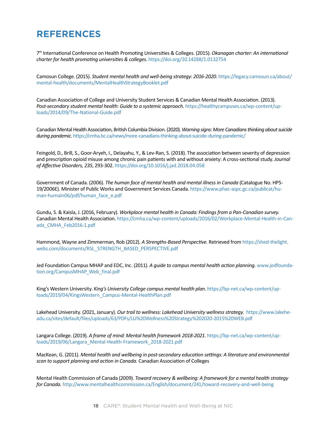## <span id="page-17-0"></span>**REFERENCES**

7th International Conference on Health Promoting Universities & Colleges. (2015). *Okanagan charter: An international charter for health promoting universities & colleges*. <https://doi.org/10.14288/1.0132754>

Camosun College. (2015). *Student mental health and well-being strategy: 2016-2020*. [https://legacy.camosun.ca/about/](https://legacy.camosun.ca/about/mental-health/documents/MentalHealthStrategyBooklet.pdf) [mental-health/documents/MentalHealthStrategyBooklet.pdf](https://legacy.camosun.ca/about/mental-health/documents/MentalHealthStrategyBooklet.pdf)

Canadian Association of College and University Student Services & Canadian Mental Health Association. (2013). Post-secondary student mental health: Guide to a systemic approach. [https://healthycampuses.ca/wp-content/up](https://healthycampuses.ca/wp-content/uploads/2014/09/The-National-Guide.pdf)[loads/2014/09/The-National-Guide.pdf](https://healthycampuses.ca/wp-content/uploads/2014/09/The-National-Guide.pdf)

Canadian Mental Health Association, British Columbia Division. (2020). *Warning signs: More Canadians thinking about suicide during pandemic*.<https://cmha.bc.ca/news/more-canadians-thinking-about-suicide-during-pandemic/>

Feingold, D., Brill, S., Goor-Aryeh, I., Delayahu, Y., & Lev-Ran, S. (2018). The association between severity of depression and prescription opioid misuse among chronic pain patients with and without anxiety: A cross-sectional study. *Journal of Affective Disorders, 235*, 293-302.<https://doi.org/10.1016/j.jad.2018.04.058>

Government of Canada. (2006). *The human face of mental health and mental illness in Canada* (Catalogue No. HP5- 19/2006E)*.* Minister of Public Works and Government Services Canada. [https://www.phac-aspc.gc.ca/publicat/hu](https://www.phac-aspc.gc.ca/publicat/human-humain06/pdf/human_face_e.pdf)[man-humain06/pdf/human\\_face\\_e.pdf](https://www.phac-aspc.gc.ca/publicat/human-humain06/pdf/human_face_e.pdf)

Gundu, S. & Kaisla, J. (2016, February). *Workplace mental health in Canada: Findings from a Pan-Canadian survey.* Canadian Mental Health Association. [https://cmha.ca/wp-content/uploads/2016/02/Workplace-Mental-Health-in-Can](https://cmha.ca/wp-content/uploads/2016/02/Workplace-Mental-Health-in-Canada_CMHA_Feb2016-1.pdf)[ada\\_CMHA\\_Feb2016-1.pdf](https://cmha.ca/wp-content/uploads/2016/02/Workplace-Mental-Health-in-Canada_CMHA_Feb2016-1.pdf)

Hammond, Wayne and Zimmerman, Rob (2012). *A Strengths-Based Perspective.* Retrieved from https://shed-thelight. webs.com/documents/RSL\_STRENGTH\_BASED\_PERSPECTIVE.pdf

Jed Foundation Campus MHAP and EDC, Inc. (2011). *A guide to campus mental health action planning.* [www.jedfounda](http://www.jedfoundation.org/CampusMHAP_Web_final.pdf)[tion.org/CampusMHAP\\_Web\\_final.pdf](http://www.jedfoundation.org/CampusMHAP_Web_final.pdf)

King's Western University. *King's University College campus mental health plan*. [https://bp-net.ca/wp-content/up](https://bp-net.ca/wp-content/uploads/2019/04/KingsWestern_Campus-Mental-HealthPlan.pdf)[loads/2019/04/KingsWestern\\_Campus-Mental-HealthPlan.pdf](https://bp-net.ca/wp-content/uploads/2019/04/KingsWestern_Campus-Mental-HealthPlan.pdf)

Lakehead University. (2021, January). *Our trail to wellness: Lakehead University wellness strategy*. [https://www.lakehe](https://www.lakeheadu.ca/sites/default/files/uploads/63/PDFs/LU%20Wellness%20Strategy%202020-2015%20WEB.pdf)[adu.ca/sites/default/files/uploads/63/PDFs/LU%20Wellness%20Strategy%202020-2015%20WEB.pdf](https://www.lakeheadu.ca/sites/default/files/uploads/63/PDFs/LU%20Wellness%20Strategy%202020-2015%20WEB.pdf)

Langara College. (2019). *A frame of mind: Mental health framework 2018-2021.* [https://bp-net.ca/wp-content/up](https://bp-net.ca/wp-content/uploads/2019/06/Langara_Mental-Health-Framework_2018-2021.pdf)[loads/2019/06/Langara\\_Mental-Health-Framework\\_2018-2021.pdf](https://bp-net.ca/wp-content/uploads/2019/06/Langara_Mental-Health-Framework_2018-2021.pdf)

MacKean, G. (2011). *Mental health and wellbeing in post-secondary education settings: A literature and environmental scan to support planning and action in Canada.* Canadian Association of Colleges

Mental Health Commission of Canada (2009). *Toward recovery & wellbeing: A framework for a mental health strategy for Canada.* <http://www.mentalhealthcommission.ca/English/document/241/toward-recovery-and-well-being>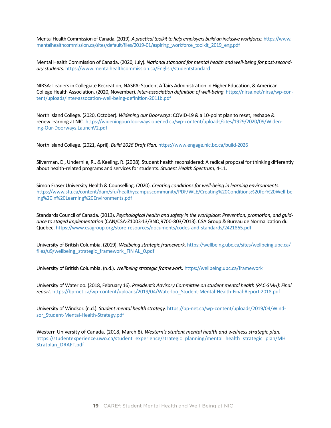Mental Health Commission of Canada. (2019). *A practical toolkit to help employers build an inclusive workforce.* [https://www.](https://www.mentalhealthcommission.ca/sites/default/files/2019-01/aspiring_workforce_toolkit_2019_eng.pdf) [mentalhealthcommission.ca/sites/default/files/2019-01/aspiring\\_workforce\\_toolkit\\_2019\\_eng.pdf](https://www.mentalhealthcommission.ca/sites/default/files/2019-01/aspiring_workforce_toolkit_2019_eng.pdf)

Mental Health Commission of Canada. (2020, July). *National standard for mental health and well-being for post-secondary students*.<https://www.mentalhealthcommission.ca/English/studentstandard>

NIRSA: Leaders in Collegiate Recreation, NASPA: Student Affairs Administration in Higher Education, & American College Health Association. (2020, November). *Inter-association definition of well-being*. [https://nirsa.net/nirsa/wp-con](https://nirsa.net/nirsa/wp-content/uploads/inter-assocation-well-being-definition-2011b.pdf)[tent/uploads/inter-assocation-well-being-definition-2011b.pdf](https://nirsa.net/nirsa/wp-content/uploads/inter-assocation-well-being-definition-2011b.pdf)

North Island College. (2020, October). *[Widening our Doorways](https://www.nic.bc.ca/pdf/widening-our-doorways-2026.pdf)*: COVID-19 & a 10-point plan to reset, reshape & renew learning at NIC. [https://wideningourdoorways.opened.ca/wp-content/uploads/sites/1929/2020/09/Widen](https://wideningourdoorways.opened.ca/wp-content/uploads/sites/1929/2020/09/Widening-Our-Doorways.LaunchV2.pdf)[ing-Our-Doorways.LaunchV2.pdf](https://wideningourdoorways.opened.ca/wp-content/uploads/sites/1929/2020/09/Widening-Our-Doorways.LaunchV2.pdf)

North Island College. (2021, April). *Build 2026 Draft Plan*.<https://www.engage.nic.bc.ca/build-2026>

Silverman, D., Underhile, R., & Keeling, R. (2008). Student health reconsidered: A radical proposal for thinking differently about health-related programs and services for students. *Student Health Spectrum,* 4-11.

Simon Fraser University Health & Counselling. (2020). *Creating conditions for well-being in learning environments*. [https://www.sfu.ca/content/dam/sfu/healthycampuscommunity/PDF/WLE/Creating%20Conditions%20for%20Well-be](https://www.sfu.ca/content/dam/sfu/healthycampuscommunity/PDF/WLE/Creating%20Conditions%20for%20Well-being%20in%20Learning%20Environments.pdf)[ing%20in%20Learning%20Environments.pdf](https://www.sfu.ca/content/dam/sfu/healthycampuscommunity/PDF/WLE/Creating%20Conditions%20for%20Well-being%20in%20Learning%20Environments.pdf)

Standards Council of Canada. (2013). *Psychological health and safety in the workplace: Prevention, promotion, and guidance to staged implementation* (CAN/CSA-Z1003-13/BNQ 9700-803/2013). CSA Group & Bureau de Normalization du Quebec.<https://www.csagroup.org/store-resources/documents/codes-and-standards/2421865.pdf>

University of British Columbia. (2019). *Wellbeing strategic framework*. [https://wellbeing.ubc.ca/sites/wellbeing.ubc.ca/](https://wellbeing.ubc.ca/sites/wellbeing.ubc.ca/files/u9/wellbeing_strategic_framework_FIN%20AL_0.pdf) [files/u9/wellbeing\\_strategic\\_framework\\_FIN AL\\_0.pdf](https://wellbeing.ubc.ca/sites/wellbeing.ubc.ca/files/u9/wellbeing_strategic_framework_FIN%20AL_0.pdf)

University of British Columbia. (n.d.). *Wellbeing strategic framework.* <https://wellbeing.ubc.ca/framework>

University of Waterloo*.* (2018, February 16). *President's Advisory Committee on student mental health (PAC-SMH): Final report.* [https://bp-net.ca/wp-content/uploads/2019/04/Waterloo\\_Student-Mental-Health-Final-Report-2018.pdf](https://bp-net.ca/wp-content/uploads/2019/04/Waterloo_Student-Mental-Health-Final-Report-2018.pdf)

University of Windsor. (n.d.). *Student mental health strategy.* [https://bp-net.ca/wp-content/uploads/2019/04/Wind](https://bp-net.ca/wp-content/uploads/2019/04/Windsor_Student-Mental-Health-Strategy.pdf)[sor\\_Student-Mental-Health-Strategy.pdf](https://bp-net.ca/wp-content/uploads/2019/04/Windsor_Student-Mental-Health-Strategy.pdf)

Western University of Canada. (2018, March 8). *Western's student mental health and wellness strategic plan.* https://studentexperience.uwo.ca/student\_experience/strategic\_planning/mental\_health\_strategic\_plan/MH [Stratplan\\_DRAFT.pdf](https://studentexperience.uwo.ca/student_experience/strategic_planning/mental_health_strategic_plan/MH_Stratplan_DRAFT.pdf)